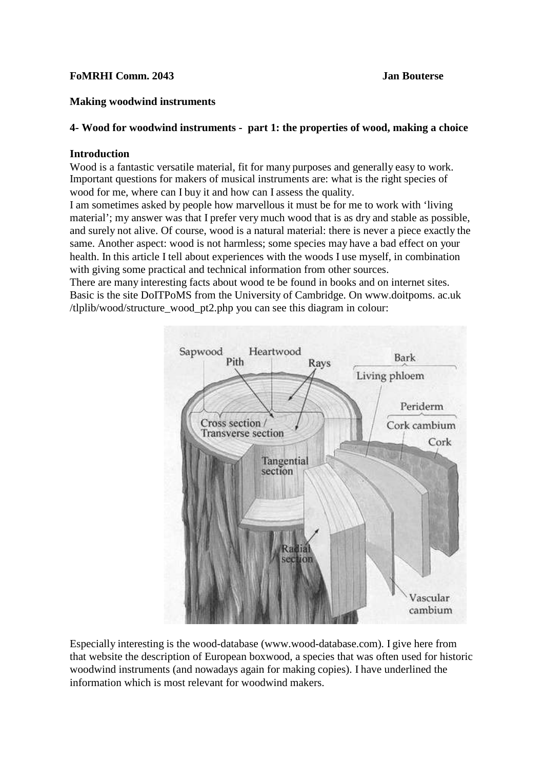# **FoMRHI Comm. 2043 Jan Bouterse**

# **Making woodwind instruments**

# **4- Wood for woodwind instruments - part 1: the properties of wood, making a choice**

# **Introduction**

Wood is a fantastic versatile material, fit for many purposes and generally easy to work. Important questions for makers of musical instruments are: what is the right species of wood for me, where can I buy it and how can I assess the quality.

I am sometimes asked by people how marvellous it must be for me to work with 'living material'; my answer was that I prefer very much wood that is as dry and stable as possible, and surely not alive. Of course, wood is a natural material: there is never a piece exactly the same. Another aspect: wood is not harmless; some species may have a bad effect on your health. In this article I tell about experiences with the woods I use myself, in combination with giving some practical and technical information from other sources.

There are many interesting facts about wood te be found in books and on internet sites. Basic is the site DoITPoMS from the University of Cambridge. On www.doitpoms. ac.uk /tlplib/wood/structure\_wood\_pt2.php you can see this diagram in colour:



Especially interesting is the wood-database (www.wood-database.com). I give here from that website the description of European boxwood, a species that was often used for historic woodwind instruments (and nowadays again for making copies). I have underlined the information which is most relevant for woodwind makers.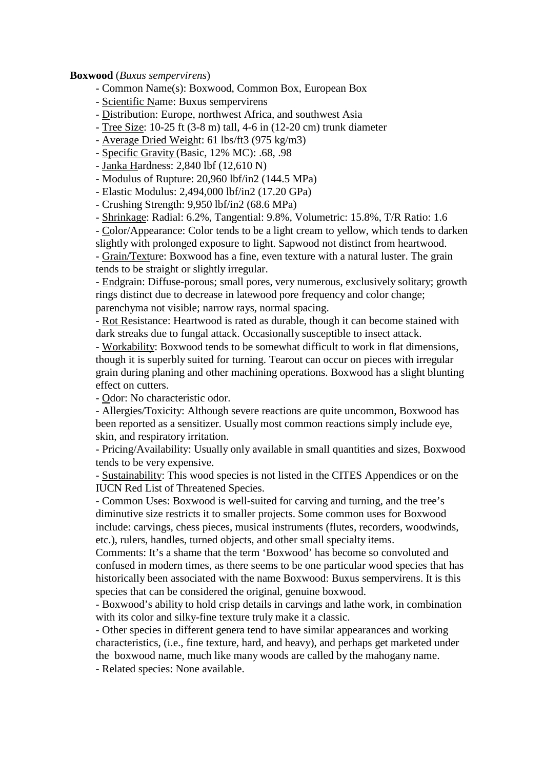#### **Boxwood** (*Buxus sempervirens*)

- Common Name(s): Boxwood, Common Box, European Box
- Scientific Name: Buxus sempervirens
- Distribution: Europe, northwest Africa, and southwest Asia
- Tree Size: 10-25 ft (3-8 m) tall, 4-6 in (12-20 cm) trunk diameter
- Average Dried Weight: 61 lbs/ft3 (975 kg/m3)
- Specific Gravity (Basic, 12% MC): .68, .98
- Janka Hardness: 2,840 lbf (12,610 N)
- Modulus of Rupture: 20,960 lbf/in2 (144.5 MPa)
- Elastic Modulus: 2,494,000 lbf/in2 (17.20 GPa)
- Crushing Strength: 9,950 lbf/in2 (68.6 MPa)
- Shrinkage: Radial: 6.2%, Tangential: 9.8%, Volumetric: 15.8%, T/R Ratio: 1.6

- Color/Appearance: Color tends to be a light cream to yellow, which tends to darken slightly with prolonged exposure to light. Sapwood not distinct from heartwood.

- Grain/Texture: Boxwood has a fine, even texture with a natural luster. The grain tends to be straight or slightly irregular.

- Endgrain: Diffuse-porous; small pores, very numerous, exclusively solitary; growth rings distinct due to decrease in latewood pore frequency and color change; parenchyma not visible; narrow rays, normal spacing.

- Rot Resistance: Heartwood is rated as durable, though it can become stained with dark streaks due to fungal attack. Occasionally susceptible to insect attack.

- Workability: Boxwood tends to be somewhat difficult to work in flat dimensions, though it is superbly suited for turning. Tearout can occur on pieces with irregular grain during planing and other machining operations. Boxwood has a slight blunting effect on cutters.

- Odor: No characteristic odor.

- Allergies/Toxicity: Although severe reactions are quite uncommon, Boxwood has been reported as a sensitizer. Usually most common reactions simply include eye, skin, and respiratory irritation.

- Pricing/Availability: Usually only available in small quantities and sizes, Boxwood tends to be very expensive.

- Sustainability: This wood species is not listed in the CITES Appendices or on the IUCN Red List of Threatened Species.

- Common Uses: Boxwood is well-suited for carving and turning, and the tree's diminutive size restricts it to smaller projects. Some common uses for Boxwood include: carvings, chess pieces, musical instruments (flutes, recorders, woodwinds, etc.), rulers, handles, turned objects, and other small specialty items.

Comments: It's a shame that the term 'Boxwood' has become so convoluted and confused in modern times, as there seems to be one particular wood species that has historically been associated with the name Boxwood: Buxus sempervirens. It is this species that can be considered the original, genuine boxwood.

- Boxwood's ability to hold crisp details in carvings and lathe work, in combination with its color and silky-fine texture truly make it a classic.

- Other species in different genera tend to have similar appearances and working characteristics, (i.e., fine texture, hard, and heavy), and perhaps get marketed under the boxwood name, much like many woods are called by the mahogany name.

- Related species: None available.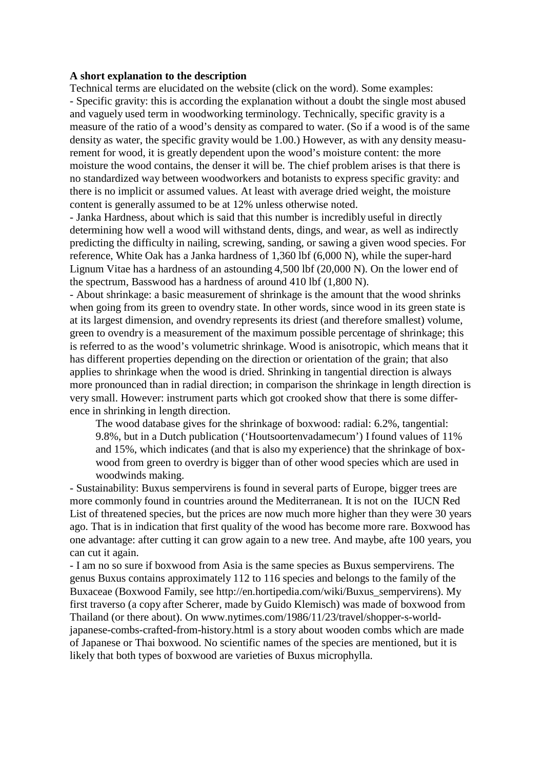#### **A short explanation to the description**

Technical terms are elucidated on the website (click on the word). Some examples: - Specific gravity: this is according the explanation without a doubt the single most abused and vaguely used term in woodworking terminology. Technically, specific gravity is a measure of the ratio of a wood's density as compared to water. (So if a wood is of the same density as water, the specific gravity would be 1.00.) However, as with any density measurement for wood, it is greatly dependent upon the wood's moisture content: the more moisture the wood contains, the denser it will be. The chief problem arises is that there is no standardized way between woodworkers and botanists to express specific gravity: and there is no implicit or assumed values. At least with average dried weight, the moisture content is generally assumed to be at 12% unless otherwise noted.

- Janka Hardness, about which is said that this number is incredibly useful in directly determining how well a wood will withstand dents, dings, and wear, as well as indirectly predicting the difficulty in nailing, screwing, sanding, or sawing a given wood species. For reference, White Oak has a Janka hardness of 1,360 lbf (6,000 N), while the super-hard Lignum Vitae has a hardness of an astounding 4,500 lbf (20,000 N). On the lower end of the spectrum, Basswood has a hardness of around 410 lbf (1,800 N).

- About shrinkage: a basic measurement of shrinkage is the amount that the wood shrinks when going from its green to ovendry state. In other words, since wood in its green state is at its largest dimension, and ovendry represents its driest (and therefore smallest) volume, green to ovendry is a measurement of the maximum possible percentage of shrinkage; this is referred to as the wood's volumetric shrinkage. Wood is anisotropic, which means that it has different properties depending on the direction or orientation of the grain; that also applies to shrinkage when the wood is dried. Shrinking in tangential direction is always more pronounced than in radial direction; in comparison the shrinkage in length direction is very small. However: instrument parts which got crooked show that there is some difference in shrinking in length direction.

The wood database gives for the shrinkage of boxwood: radial: 6.2%, tangential: 9.8%, but in a Dutch publication ('Houtsoortenvadamecum') I found values of 11% and 15%, which indicates (and that is also my experience) that the shrinkage of boxwood from green to overdry is bigger than of other wood species which are used in woodwinds making.

- Sustainability: Buxus sempervirens is found in several parts of Europe, bigger trees are more commonly found in countries around the Mediterranean. It is not on the IUCN Red List of threatened species, but the prices are now much more higher than they were 30 years ago. That is in indication that first quality of the wood has become more rare. Boxwood has one advantage: after cutting it can grow again to a new tree. And maybe, afte 100 years, you can cut it again.

- I am no so sure if boxwood from Asia is the same species as Buxus sempervirens. The genus Buxus contains approximately 112 to 116 species and belongs to the family of the Buxaceae (Boxwood Family, [see http://en.hortipedia.com/wiki/Buxus\\_sempervirens\).](http://en.hortipedia.com/wiki/Buxus_sempervirens)) My first traverso (a copy after Scherer, made by Guido Klemisch) was made of boxwood from Thailand (or there about). On [www.nytimes.com/1986/11/23/travel/shopper-s-world](http://www.nytimes.com/1986/11/23/travel/shopper-s-world-)japanese-combs-crafted-from-history.html is a story about wooden combs which are made of Japanese or Thai boxwood. No scientific names of the species are mentioned, but it is likely that both types of boxwood are varieties of Buxus microphylla.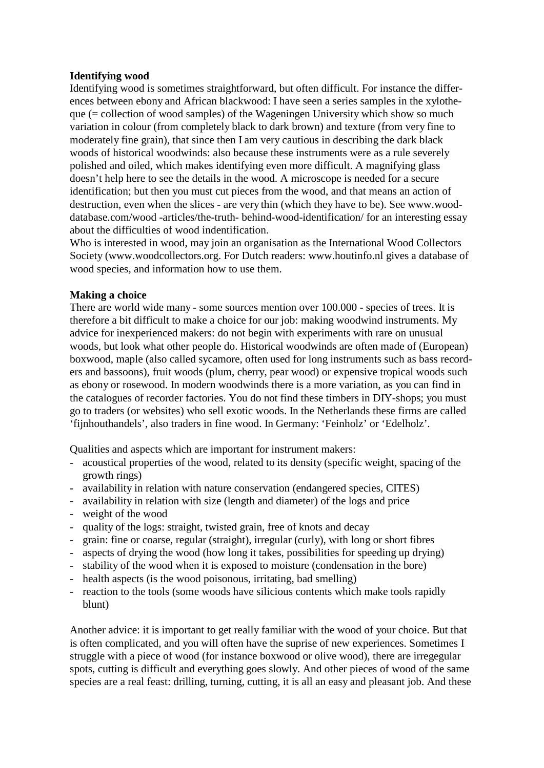# **Identifying wood**

Identifying wood is sometimes straightforward, but often difficult. For instance the differences between ebony and African blackwood: I have seen a series samples in the xylotheque  $(=$  collection of wood samples) of the Wageningen University which show so much variation in colour (from completely black to dark brown) and texture (from very fine to moderately fine grain), that since then I am very cautious in describing the dark black woods of historical woodwinds: also because these instruments were as a rule severely polished and oiled, which makes identifying even more difficult. A magnifying glass doesn't help here to see the details in the wood. A microscope is needed for a secure identification; but then you must cut pieces from the wood, and that means an action of destruction, even when the slices - are very thin (which they have to be). See www.wooddatabase.com/wood -articles/the-truth- behind-wood-identification/ for an interesting essay about the difficulties of wood indentification.

Who is interested in wood, may join an organisation as the International Wood Collectors Society [\(www.woodcollectors.org.](http://www.woodcollectors.org/) For Dutch readers: [www.houtinfo.nl](http://www.houtinfo.nl/) gives a database of wood species, and information how to use them.

# **Making a choice**

There are world wide many - some sources mention over 100.000 - species of trees. It is therefore a bit difficult to make a choice for our job: making woodwind instruments. My advice for inexperienced makers: do not begin with experiments with rare on unusual woods, but look what other people do. Historical woodwinds are often made of (European) boxwood, maple (also called sycamore, often used for long instruments such as bass recorders and bassoons), fruit woods (plum, cherry, pear wood) or expensive tropical woods such as ebony or rosewood. In modern woodwinds there is a more variation, as you can find in the catalogues of recorder factories. You do not find these timbers in DIY-shops; you must go to traders (or websites) who sell exotic woods. In the Netherlands these firms are called 'fijnhouthandels', also traders in fine wood. In Germany: 'Feinholz' or 'Edelholz'.

Qualities and aspects which are important for instrument makers:

- acoustical properties of the wood, related to its density (specific weight, spacing of the growth rings)
- availability in relation with nature conservation (endangered species, CITES)
- availability in relation with size (length and diameter) of the logs and price
- weight of the wood
- quality of the logs: straight, twisted grain, free of knots and decay
- grain: fine or coarse, regular (straight), irregular (curly), with long or short fibres
- aspects of drying the wood (how long it takes, possibilities for speeding up drying)
- stability of the wood when it is exposed to moisture (condensation in the bore)
- health aspects (is the wood poisonous, irritating, bad smelling)
- reaction to the tools (some woods have silicious contents which make tools rapidly blunt)

Another advice: it is important to get really familiar with the wood of your choice. But that is often complicated, and you will often have the suprise of new experiences. Sometimes I struggle with a piece of wood (for instance boxwood or olive wood), there are irregegular spots, cutting is difficult and everything goes slowly. And other pieces of wood of the same species are a real feast: drilling, turning, cutting, it is all an easy and pleasant job. And these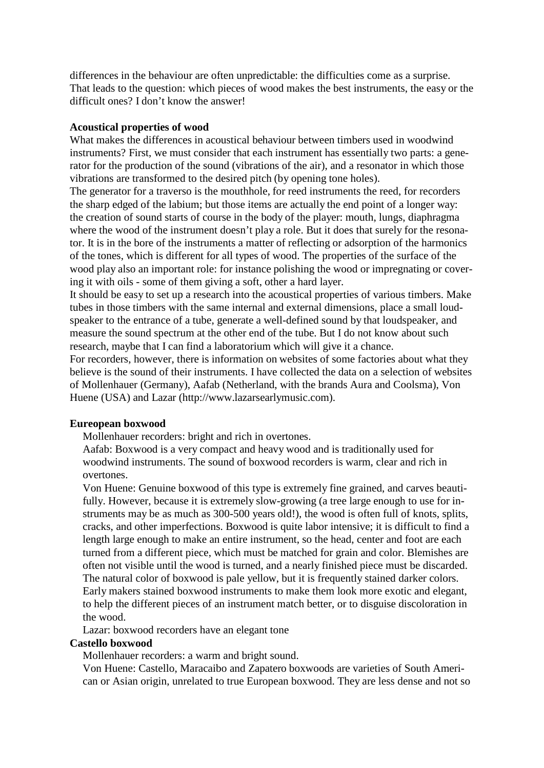differences in the behaviour are often unpredictable: the difficulties come as a surprise. That leads to the question: which pieces of wood makes the best instruments, the easy or the difficult ones? I don't know the answer!

#### **Acoustical properties of wood**

What makes the differences in acoustical behaviour between timbers used in woodwind instruments? First, we must consider that each instrument has essentially two parts: a generator for the production of the sound (vibrations of the air), and a resonator in which those vibrations are transformed to the desired pitch (by opening tone holes).

The generator for a traverso is the mouthhole, for reed instruments the reed, for recorders the sharp edged of the labium; but those items are actually the end point of a longer way: the creation of sound starts of course in the body of the player: mouth, lungs, diaphragma where the wood of the instrument doesn't play a role. But it does that surely for the resonator. It is in the bore of the instruments a matter of reflecting or adsorption of the harmonics of the tones, which is different for all types of wood. The properties of the surface of the wood play also an important role: for instance polishing the wood or impregnating or covering it with oils - some of them giving a soft, other a hard layer.

It should be easy to set up a research into the acoustical properties of various timbers. Make tubes in those timbers with the same internal and external dimensions, place a small loudspeaker to the entrance of a tube, generate a well-defined sound by that loudspeaker, and measure the sound spectrum at the other end of the tube. But I do not know about such research, maybe that I can find a laboratorium which will give it a chance.

For recorders, however, there is information on websites of some factories about what they believe is the sound of their instruments. I have collected the data on a selection of websites of Mollenhauer (Germany), Aafab (Netherland, with the brands Aura and Coolsma), Von Huene (USA) and Lazar (http://www.lazarsearlymusic.com).

# **Eureopean boxwood**

Mollenhauer recorders: bright and rich in overtones.

Aafab: Boxwood is a very compact and heavy wood and is traditionally used for woodwind instruments. The sound of boxwood recorders is warm, clear and rich in overtones.

Von Huene: Genuine boxwood of this type is extremely fine grained, and carves beautifully. However, because it is extremely slow-growing (a tree large enough to use for instruments may be as much as 300-500 years old!), the wood is often full of knots, splits, cracks, and other imperfections. Boxwood is quite labor intensive; it is difficult to find a length large enough to make an entire instrument, so the head, center and foot are each turned from a different piece, which must be matched for grain and color. Blemishes are often not visible until the wood is turned, and a nearly finished piece must be discarded. The natural color of boxwood is pale yellow, but it is frequently stained darker colors. Early makers stained boxwood instruments to make them look more exotic and elegant, to help the different pieces of an instrument match better, or to disguise discoloration in the wood.

Lazar: boxwood recorders have an elegant tone

# **Castello boxwood**

Mollenhauer recorders: a warm and bright sound.

Von Huene: Castello, Maracaibo and Zapatero boxwoods are varieties of South American or Asian origin, unrelated to true European boxwood. They are less dense and not so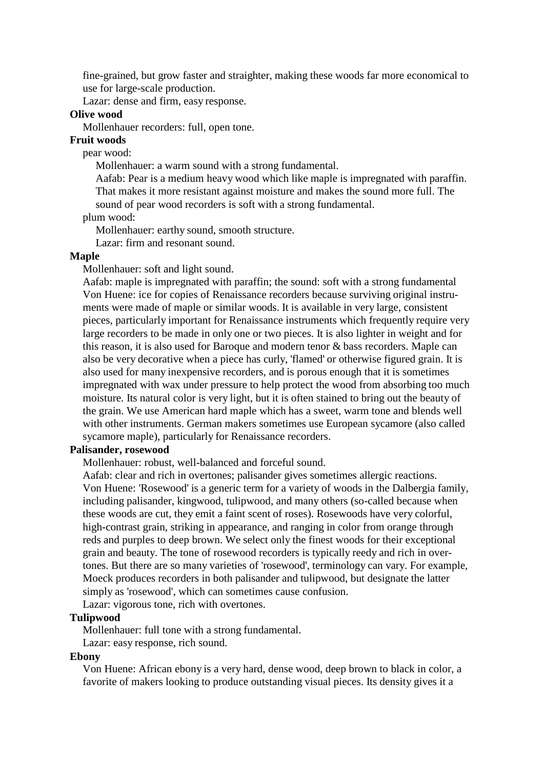fine-grained, but grow faster and straighter, making these woods far more economical to use for large-scale production.

Lazar: dense and firm, easy response.

# **Olive wood**

Mollenhauer recorders: full, open tone.

## **Fruit woods**

pear wood:

Mollenhauer: a warm sound with a strong fundamental.

Aafab: Pear is a medium heavy wood which like maple is impregnated with paraffin. That makes it more resistant against moisture and makes the sound more full. The sound of pear wood recorders is soft with a strong fundamental.

plum wood:

Mollenhauer: earthy sound, smooth structure.

Lazar: firm and resonant sound.

#### **Maple**

Mollenhauer: soft and light sound.

Aafab: maple is impregnated with paraffin; the sound: soft with a strong fundamental Von Huene: ice for copies of Renaissance recorders because surviving original instruments were made of maple or similar woods. It is available in very large, consistent pieces, particularly important for Renaissance instruments which frequently require very large recorders to be made in only one or two pieces. It is also lighter in weight and for this reason, it is also used for Baroque and modern tenor & bass recorders. Maple can also be very decorative when a piece has curly, 'flamed' or otherwise figured grain. It is also used for many inexpensive recorders, and is porous enough that it is sometimes impregnated with wax under pressure to help protect the wood from absorbing too much moisture. Its natural color is very light, but it is often stained to bring out the beauty of the grain. We use American hard maple which has a sweet, warm tone and blends well with other instruments. German makers sometimes use European sycamore (also called sycamore maple), particularly for Renaissance recorders.

## **Palisander, rosewood**

Mollenhauer: robust, well-balanced and forceful sound.

Aafab: clear and rich in overtones; palisander gives sometimes allergic reactions. Von Huene: 'Rosewood' is a generic term for a variety of woods in the Dalbergia family, including palisander, kingwood, tulipwood, and many others (so-called because when these woods are cut, they emit a faint scent of roses). Rosewoods have very colorful, high-contrast grain, striking in appearance, and ranging in color from orange through reds and purples to deep brown. We select only the finest woods for their exceptional grain and beauty. The tone of rosewood recorders is typically reedy and rich in overtones. But there are so many varieties of 'rosewood', terminology can vary. For example, Moeck produces recorders in both palisander and tulipwood, but designate the latter simply as 'rosewood', which can sometimes cause confusion.

Lazar: vigorous tone, rich with overtones.

# **Tulipwood**

Mollenhauer: full tone with a strong fundamental.

Lazar: easy response, rich sound.

#### **Ebony**

Von Huene: African ebony is a very hard, dense wood, deep brown to black in color, a favorite of makers looking to produce outstanding visual pieces. Its density gives it a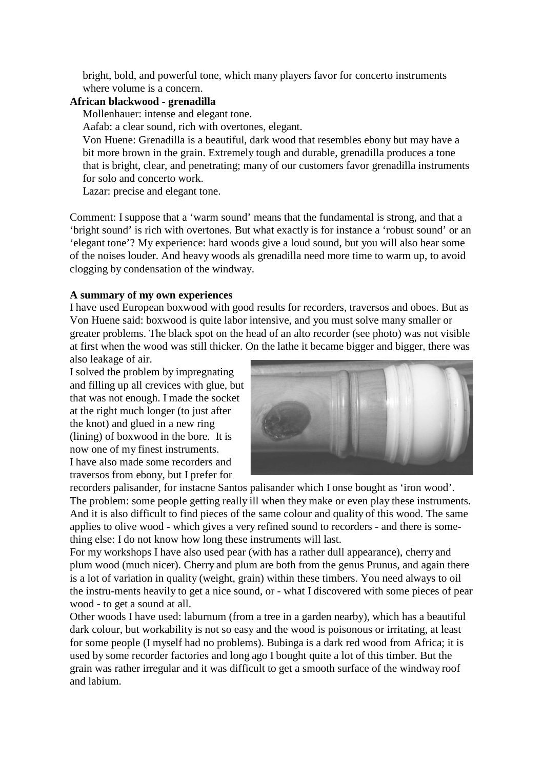bright, bold, and powerful tone, which many players favor for concerto instruments where volume is a concern.

# **African blackwood - grenadilla**

Mollenhauer: intense and elegant tone.

Aafab: a clear sound, rich with overtones, elegant.

Von Huene: Grenadilla is a beautiful, dark wood that resembles ebony but may have a bit more brown in the grain. Extremely tough and durable, grenadilla produces a tone that is bright, clear, and penetrating; many of our customers favor grenadilla instruments for solo and concerto work.

Lazar: precise and elegant tone.

Comment: I suppose that a 'warm sound' means that the fundamental is strong, and that a 'bright sound' is rich with overtones. But what exactly is for instance a 'robust sound' or an 'elegant tone'? My experience: hard woods give a loud sound, but you will also hear some of the noises louder. And heavy woods als grenadilla need more time to warm up, to avoid clogging by condensation of the windway.

# **A summary of my own experiences**

I have used European boxwood with good results for recorders, traversos and oboes. But as Von Huene said: boxwood is quite labor intensive, and you must solve many smaller or greater problems. The black spot on the head of an alto recorder (see photo) was not visible at first when the wood was still thicker. On the lathe it became bigger and bigger, there was

also leakage of air. I solved the problem by impregnating and filling up all crevices with glue, but that was not enough. I made the socket at the right much longer (to just after the knot) and glued in a new ring (lining) of boxwood in the bore. It is now one of my finest instruments. I have also made some recorders and traversos from ebony, but I prefer for



recorders palisander, for instacne Santos palisander which I onse bought as 'iron wood'. The problem: some people getting really ill when they make or even play these instruments. And it is also difficult to find pieces of the same colour and quality of this wood. The same applies to olive wood - which gives a very refined sound to recorders - and there is something else: I do not know how long these instruments will last.

For my workshops I have also used pear (with has a rather dull appearance), cherry and plum wood (much nicer). Cherry and plum are both from the genus Prunus, and again there is a lot of variation in quality (weight, grain) within these timbers. You need always to oil the instru-ments heavily to get a nice sound, or - what I discovered with some pieces of pear wood - to get a sound at all.

Other woods I have used: laburnum (from a tree in a garden nearby), which has a beautiful dark colour, but workability is not so easy and the wood is poisonous or irritating, at least for some people (I myself had no problems). Bubinga is a dark red wood from Africa; it is used by some recorder factories and long ago I bought quite a lot of this timber. But the grain was rather irregular and it was difficult to get a smooth surface of the windway roof and labium.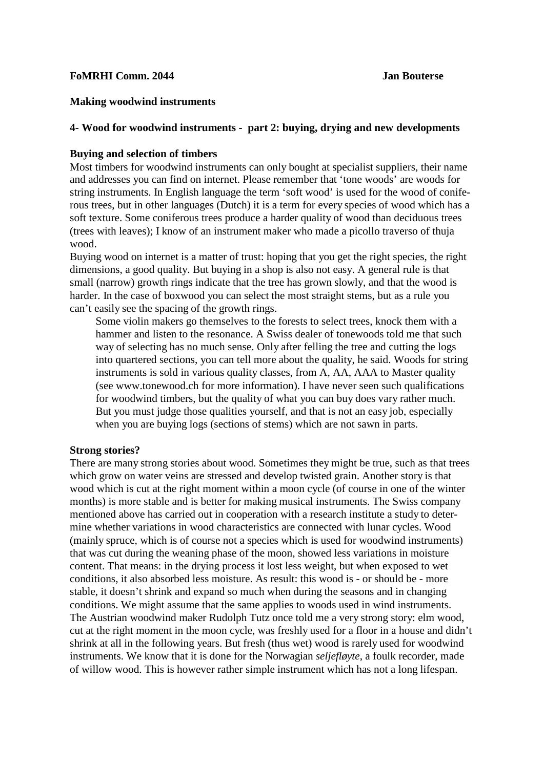## **FoMRHI Comm. 2044 Jan Bouterse**

## **Making woodwind instruments**

#### **4- Wood for woodwind instruments - part 2: buying, drying and new developments**

#### **Buying and selection of timbers**

Most timbers for woodwind instruments can only bought at specialist suppliers, their name and addresses you can find on internet. Please remember that 'tone woods' are woods for string instruments. In English language the term 'soft wood' is used for the wood of coniferous trees, but in other languages (Dutch) it is a term for every species of wood which has a soft texture. Some coniferous trees produce a harder quality of wood than deciduous trees (trees with leaves); I know of an instrument maker who made a picollo traverso of thuja wood.

Buying wood on internet is a matter of trust: hoping that you get the right species, the right dimensions, a good quality. But buying in a shop is also not easy. A general rule is that small (narrow) growth rings indicate that the tree has grown slowly, and that the wood is harder. In the case of boxwood you can select the most straight stems, but as a rule you can't easily see the spacing of the growth rings.

Some violin makers go themselves to the forests to select trees, knock them with a hammer and listen to the resonance. A Swiss dealer of tonewoods told me that such way of selecting has no much sense. Only after felling the tree and cutting the logs into quartered sections, you can tell more about the quality, he said. Woods for string instruments is sold in various quality classes, from A, AA, AAA to Master qualit[y](http://www.tonewood.ch/) [\(see www.tonewood.ch](http://www.tonewood.ch/) for more information). I have never seen such qualifications for woodwind timbers, but the quality of what you can buy does vary rather much. But you must judge those qualities yourself, and that is not an easy job, especially when you are buying logs (sections of stems) which are not sawn in parts.

#### **Strong stories?**

There are many strong stories about wood. Sometimes they might be true, such as that trees which grow on water veins are stressed and develop twisted grain. Another story is that wood which is cut at the right moment within a moon cycle (of course in one of the winter months) is more stable and is better for making musical instruments. The Swiss company mentioned above has carried out in cooperation with a research institute a study to determine whether variations in wood characteristics are connected with lunar cycles. Wood (mainly spruce, which is of course not a species which is used for woodwind instruments) that was cut during the weaning phase of the moon, showed less variations in moisture content. That means: in the drying process it lost less weight, but when exposed to wet conditions, it also absorbed less moisture. As result: this wood is - or should be - more stable, it doesn't shrink and expand so much when during the seasons and in changing conditions. We might assume that the same applies to woods used in wind instruments. The Austrian woodwind maker Rudolph Tutz once told me a very strong story: elm wood, cut at the right moment in the moon cycle, was freshly used for a floor in a house and didn't shrink at all in the following years. But fresh (thus wet) wood is rarely used for woodwind instruments. We know that it is done for the Norwagian *seljefløyte*, a foulk recorder, made of willow wood. This is however rather simple instrument which has not a long lifespan.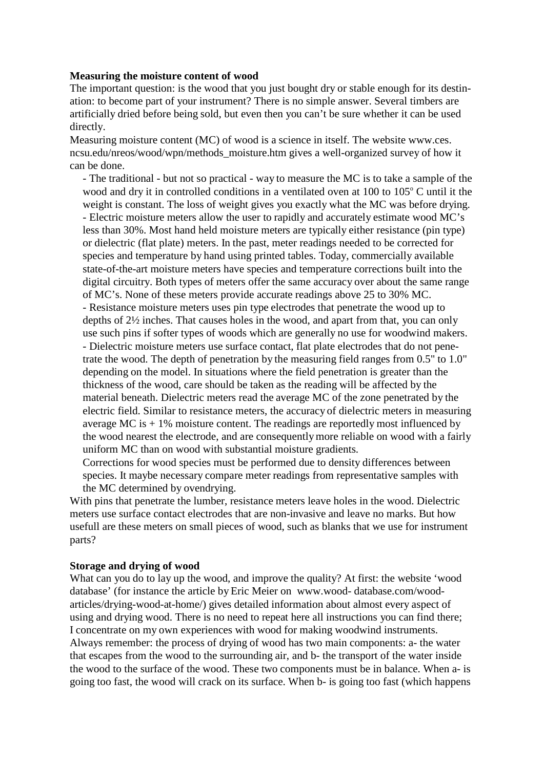#### **Measuring the moisture content of wood**

The important question: is the wood that you just bought dry or stable enough for its destination: to become part of your instrument? There is no simple answer. Several timbers are artificially dried before being sold, but even then you can't be sure whether it can be used directly.

Measuring moisture content (MC) of wood is a science in itself. The website www.ces. ncsu.edu/nreos/wood/wpn/methods\_moisture.htm gives a well-organized survey of how it can be done.

- The traditional - but not so practical - way to measure the MC is to take a sample of the wood and dry it in controlled conditions in a ventilated oven at  $100$  to  $105^{\circ}$  C until it the weight is constant. The loss of weight gives you exactly what the MC was before drying. - Electric moisture meters allow the user to rapidly and accurately estimate wood MC's less than 30%. Most hand held moisture meters are typically either resistance (pin type) or dielectric (flat plate) meters. In the past, meter readings needed to be corrected for species and temperature by hand using printed tables. Today, commercially available state-of-the-art moisture meters have species and temperature corrections built into the digital circuitry. Both types of meters offer the same accuracy over about the same range of MC's. None of these meters provide accurate readings above 25 to 30% MC. - Resistance moisture meters uses pin type electrodes that penetrate the wood up to depths of 2½ inches. That causes holes in the wood, and apart from that, you can only use such pins if softer types of woods which are generally no use for woodwind makers. - Dielectric moisture meters use surface contact, flat plate electrodes that do not penetrate the wood. The depth of penetration by the measuring field ranges from 0.5" to 1.0" depending on the model. In situations where the field penetration is greater than the thickness of the wood, care should be taken as the reading will be affected by the material beneath. Dielectric meters read the average MC of the zone penetrated by the electric field. Similar to resistance meters, the accuracy of dielectric meters in measuring average MC is  $+1\%$  moisture content. The readings are reportedly most influenced by the wood nearest the electrode, and are consequentlymore reliable on wood with a fairly uniform MC than on wood with substantial moisture gradients.

Corrections for wood species must be performed due to density differences between species. It maybe necessary compare meter readings from representative samples with the MC determined by ovendrying.

With pins that penetrate the lumber, resistance meters leave holes in the wood. Dielectric meters use surface contact electrodes that are non-invasive and leave no marks. But how usefull are these meters on small pieces of wood, such as blanks that we use for instrument parts?

# **Storage and drying of wood**

What can you do to lay up the wood, and improve the quality? At first: the website 'wood database' (for instance the article by Eric Meier on www.wood- database.com/woodarticles/drying-wood-at-home/) gives detailed information about almost every aspect of using and drying wood. There is no need to repeat here all instructions you can find there; I concentrate on my own experiences with wood for making woodwind instruments. Always remember: the process of drying of wood has two main components: a- the water that escapes from the wood to the surrounding air, and b- the transport of the water inside the wood to the surface of the wood. These two components must be in balance. When a- is going too fast, the wood will crack on its surface. When b- is going too fast (which happens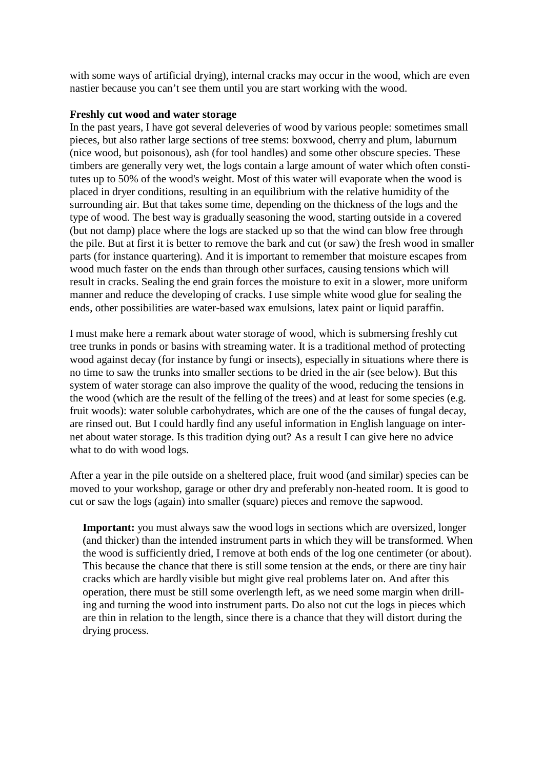with some ways of artificial drying), internal cracks may occur in the wood, which are even nastier because you can't see them until you are start working with the wood.

# **Freshly cut wood and water storage**

In the past years, I have got several deleveries of wood by various people: sometimes small pieces, but also rather large sections of tree stems: boxwood, cherry and plum, laburnum (nice wood, but poisonous), ash (for tool handles) and some other obscure species. These timbers are generally very wet, the logs contain a large amount of water which often constitutes up to 50% of the wood's weight. Most of this water will evaporate when the wood is placed in dryer conditions, resulting in an equilibrium with the relative humidity of the surrounding air. But that takes some time, depending on the thickness of the logs and the type of wood. The best way is gradually seasoning the wood, starting outside in a covered (but not damp) place where the logs are stacked up so that the wind can blow free through the pile. But at first it is better to remove the bark and cut (or saw) the fresh wood in smaller parts (for instance quartering). And it is important to remember that moisture escapes from wood much faster on the ends than through other surfaces, causing tensions which will result in cracks. Sealing the end grain forces the moisture to exit in a slower, more uniform manner and reduce the developing of cracks. I use simple white wood glue for sealing the ends, other possibilities are water-based wax emulsions, latex paint or liquid paraffin.

I must make here a remark about water storage of wood, which is submersing freshly cut tree trunks in ponds or basins with streaming water. It is a traditional method of protecting wood against decay (for instance by fungi or insects), especially in situations where there is no time to saw the trunks into smaller sections to be dried in the air (see below). But this system of water storage can also improve the quality of the wood, reducing the tensions in the wood (which are the result of the felling of the trees) and at least for some species (e.g. fruit woods): water soluble carbohydrates, which are one of the the causes of fungal decay, are rinsed out. But I could hardly find any useful information in English language on internet about water storage. Is this tradition dying out? As a result I can give here no advice what to do with wood logs.

After a year in the pile outside on a sheltered place, fruit wood (and similar) species can be moved to your workshop, garage or other dry and preferably non-heated room. It is good to cut or saw the logs (again) into smaller (square) pieces and remove the sapwood.

**Important:** you must always saw the wood logs in sections which are oversized, longer (and thicker) than the intended instrument parts in which they will be transformed. When the wood is sufficiently dried, I remove at both ends of the log one centimeter (or about). This because the chance that there is still some tension at the ends, or there are tiny hair cracks which are hardly visible but might give real problems later on. And after this operation, there must be still some overlength left, as we need some margin when drilling and turning the wood into instrument parts. Do also not cut the logs in pieces which are thin in relation to the length, since there is a chance that they will distort during the drying process.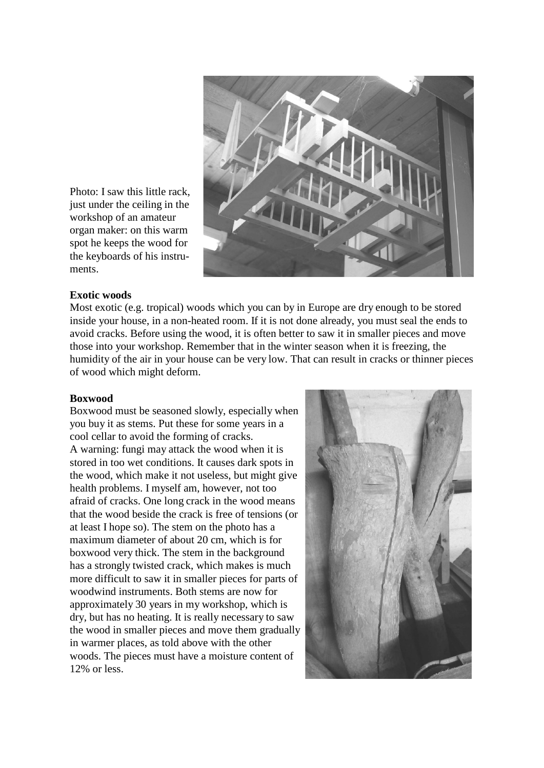

**Exotic woods**

ments.

workshop of an amateur

Most exotic (e.g. tropical) woods which you can by in Europe are dry enough to be stored inside your house, in a non-heated room. If it is not done already, you must seal the ends to avoid cracks. Before using the wood, it is often better to saw it in smaller pieces and move those into your workshop. Remember that in the winter season when it is freezing, the humidity of the air in your house can be very low. That can result in cracks or thinner pieces of wood which might deform.

#### **Boxwood**

Boxwood must be seasoned slowly, especially when you buy it as stems. Put these for some years in a cool cellar to avoid the forming of cracks. A warning: fungi may attack the wood when it is stored in too wet conditions. It causes dark spots in the wood, which make it not useless, but might give health problems. I myself am, however, not too afraid of cracks. One long crack in the wood means that the wood beside the crack is free of tensions (or at least I hope so). The stem on the photo has a maximum diameter of about 20 cm, which is for boxwood very thick. The stem in the background has a strongly twisted crack, which makes is much more difficult to saw it in smaller pieces for parts of woodwind instruments. Both stems are now for approximately 30 years in my workshop, which is dry, but has no heating. It is really necessary to saw the wood in smaller pieces and move them gradually in warmer places, as told above with the other woods. The pieces must have a moisture content of 12% or less.

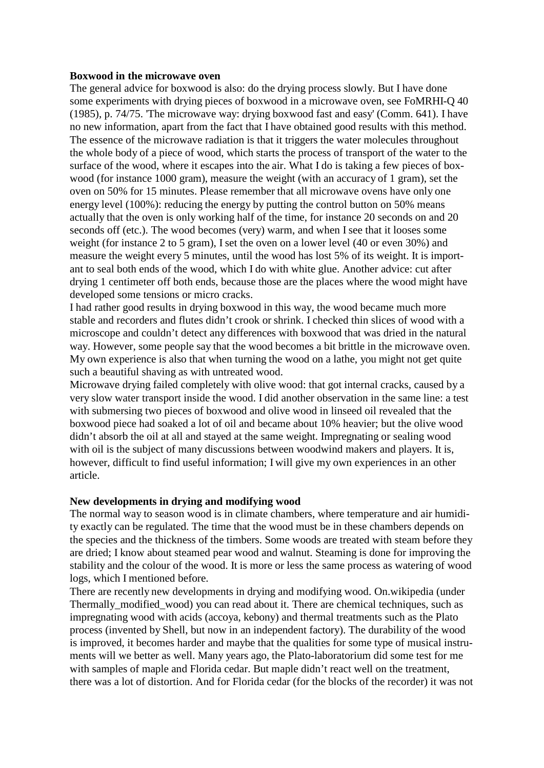# **Boxwood in the microwave oven**

The general advice for boxwood is also: do the drying process slowly. But I have done some experiments with drying pieces of boxwood in a microwave oven, see FoMRHI-Q 40 (1985), p. 74/75. 'The microwave way: drying boxwood fast and easy' (Comm. 641). I have no new information, apart from the fact that I have obtained good results with this method. The essence of the microwave radiation is that it triggers the water molecules throughout the whole body of a piece of wood, which starts the process of transport of the water to the surface of the wood, where it escapes into the air. What I do is taking a few pieces of boxwood (for instance 1000 gram), measure the weight (with an accuracy of 1 gram), set the oven on 50% for 15 minutes. Please remember that all microwave ovens have only one energy level (100%): reducing the energy by putting the control button on 50% means actually that the oven is only working half of the time, for instance 20 seconds on and 20 seconds off (etc.). The wood becomes (very) warm, and when Isee that it looses some weight (for instance 2 to 5 gram), I set the oven on a lower level (40 or even 30%) and measure the weight every 5 minutes, until the wood has lost 5% of its weight. It is important to seal both ends of the wood, which I do with white glue. Another advice: cut after drying 1 centimeter off both ends, because those are the places where the wood might have developed some tensions or micro cracks.

I had rather good results in drying boxwood in this way, the wood became much more stable and recorders and flutes didn't crook or shrink. I checked thin slices of wood with a microscope and couldn't detect any differences with boxwood that was dried in the natural way. However, some people say that the wood becomes a bit brittle in the microwave oven. My own experience is also that when turning the wood on a lathe, you might not get quite such a beautiful shaving as with untreated wood.

Microwave drying failed completely with olive wood: that got internal cracks, caused by a very slow water transport inside the wood. I did another observation in the same line: a test with submersing two pieces of boxwood and olive wood in linseed oil revealed that the boxwood piece had soaked a lot of oil and became about 10% heavier; but the olive wood didn't absorb the oil at all and stayed at the same weight. Impregnating or sealing wood with oil is the subject of many discussions between woodwind makers and players. It is, however, difficult to find useful information; I will give my own experiences in an other article.

#### **New developments in drying and modifying wood**

The normal way to season wood is in climate chambers, where temperature and air humidity exactly can be regulated. The time that the wood must be in these chambers depends on the species and the thickness of the timbers. Some woods are treated with steam before they are dried; I know about steamed pear wood and walnut. Steaming is done for improving the stability and the colour of the wood. It is more or less the same process as watering of wood logs, which I mentioned before.

There are recently new developments in drying and modifying wood. On.wikipedia (under Thermally modified wood) you can read about it. There are chemical techniques, such as impregnating wood with acids (accoya, kebony) and thermal treatments such as the Plato process (invented by Shell, but now in an independent factory). The durability of the wood is improved, it becomes harder and maybe that the qualities for some type of musical instruments will we better as well. Many years ago, the Plato-laboratorium did some test for me with samples of maple and Florida cedar. But maple didn't react well on the treatment, there was a lot of distortion. And for Florida cedar (for the blocks of the recorder) it was not